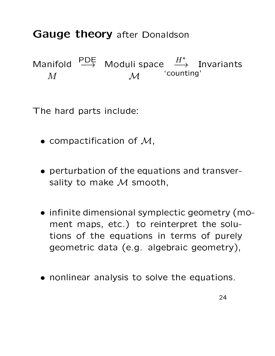## **Gauge theory after Donaldson**

Manifold  $\stackrel{\text{PDE}}{\longrightarrow}$  Moduli space  $\stackrel{H^*}{\longrightarrow}$  Invariants counting'  $M$  $\mathcal{M}$ 

The hard parts include:

- compactification of  $M$ ,
- perturbation of the equations and transversality to make M smooth,
- · infinite dimensional symplectic geometry (moment maps, etc.) to reinterpret the solutions of the equations in terms of purely geometric data (e.g. algebraic geometry),
- nonlinear analysis to solve the equations.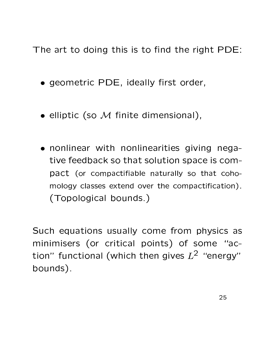The art to doing this is to find the right PDE:

- geometric PDE, ideally first order,
- $\bullet$  elliptic (so  $\mathcal M$  finite dimensional),
- nonlinear with nonlinearities giving negative feedback so that solution space is compact (or compactifiable naturally so that cohomology classes extend over the compactification). (Topological bounds.)

Such equations usually come from physics as minimisers (or critical points) of some "action" functional (which then gives  $L^2$  "energy" bounds).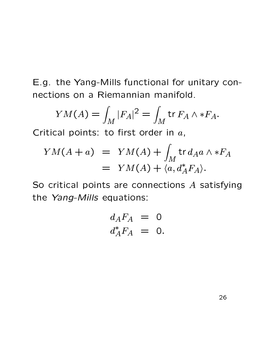E.g. the Yang-Mills functional for unitary connections on a Riemannian manifold.

$$
YM(A) = \int_M |F_A|^2 = \int_M \text{tr } F_A \wedge *F_A.
$$

Critical points: to first order in  $a$ ,

$$
YM(A+a) = YM(A) + \int_M tr d_A a \wedge *F_A
$$
  
= YM(A) + \langle a, d\_A^\* F\_A \rangle.

So critical points are connections A satisfying the Yang-Mills equations:

$$
d_A F_A = 0
$$
  

$$
d_A^* F_A = 0.
$$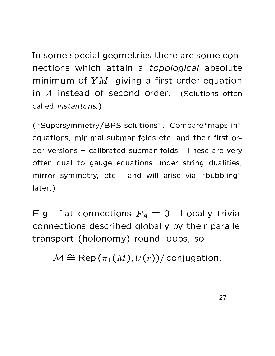In some special geometries there are some connections which attain a *topological* absolute minimum of  $YM$ , giving a first order equation in  $A$  instead of second order. (Solutions often called *instantons.*)

("Supersymmetry/BPS solutions", Compare "maps in" equations, minimal submanifolds etc, and their first order versions - calibrated submanifolds. These are very often dual to gauge equations under string dualities, mirror symmetry, etc. and will arise via "bubbling" later.)

E.g. flat connections  $F_A = 0$ . Locally trivial connections described globally by their parallel transport (holonomy) round loops, so

 $\mathcal{M} \cong \text{Rep}(\pi_1(M), U(r))/\text{conjugation}.$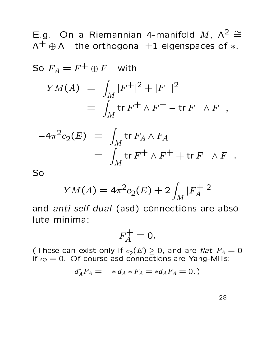E.g. On a Riemannian 4-manifold M,  $\Lambda^2 \cong$  $\Lambda^+ \oplus \Lambda^-$  the orthogonal  $\pm 1$  eigenspaces of  $*$ .

So 
$$
F_A = F^+ \oplus F^-
$$
 with  
\n
$$
YM(A) = \int_M |F^+|^2 + |F^-|^2
$$
\n
$$
= \int_M \text{tr } F^+ \wedge F^+ - \text{tr } F^- \wedge F^-,
$$
\n
$$
-4\pi^2 c_2(E) = \int_M \text{tr } F_A \wedge F_A
$$
\n
$$
= \int_M \text{tr } F^+ \wedge F^+ + \text{tr } F^- \wedge F^-.
$$

So

$$
YM(A) = 4\pi^2 c_2(E) + 2 \int_M |F_A^+|^2
$$

and anti-self-dual (asd) connections are absolute minima:

$$
F_A^+=0.
$$

(These can exist only if  $c_2(E) \ge 0$ , and are flat  $F_A = 0$  if  $c_2 = 0$ . Of course asd connections are Yang-Mills:

$$
d_A^*F_A = - * d_A * F_A = * d_A F_A = 0.)
$$

28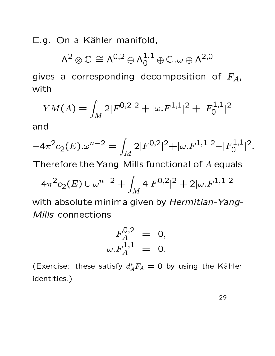E.g. On a Kähler manifold,

$$
\Lambda^2\otimes\mathbb{C}\,\cong\Lambda^{0,2}\oplus\Lambda^{1,1}_0\oplus\mathbb{C}\,\text{.}\omega\oplus\Lambda^{2,0}
$$

gives a corresponding decomposition of  $F_A$ , with

$$
YM(A) = \int_M 2|F^{0,2}|^2 + |\omega.F^{1,1}|^2 + |F_0^{1,1}|^2
$$

and

$$
-4\pi^2 c_2(E) \cdot \omega^{n-2} = \int_M 2|F^{0,2}|^2 + |\omega \cdot F^{1,1}|^2 - |F_0^{1,1}|^2.
$$

Therefore the Yang-Mills functional of A equals

$$
4\pi^2 c_2(E) \cup \omega^{n-2} + \int_M 4|F^{0,2}|^2 + 2|\omega.F^{1,1}|^2
$$

with absolute minima given by Hermitian-Yang-Mills connections

$$
F_A^{0,2} = 0, \n\omega.F_A^{1,1} = 0.
$$

(Exercise: these satisfy  $d_A^*F_A = 0$  by using the Kähler identities.)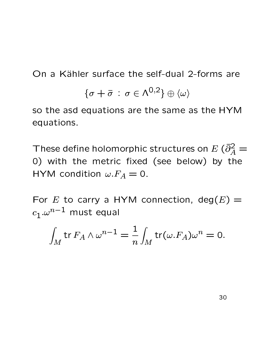On a Kähler surface the self-dual 2-forms are

$$
\{\sigma + \bar{\sigma} \,:\, \sigma \in \mathsf{\Lambda}^{0,2}\} \oplus \langle \omega \rangle
$$

so the asd equations are the same as the HYM equations.

These define holomorphic structures on  $E$  ( $\bar{\partial}_A^2 =$ 0) with the metric fixed (see below) by the HYM condition  $\omega.F_A = 0$ .

For E to carry a HYM connection,  $deg(E)$  =  $c_1.\omega^{n-1}$  must equal

$$
\int_M \operatorname{tr} F_A \wedge \omega^{n-1} = \frac{1}{n} \int_M \operatorname{tr}(\omega.F_A)\omega^n = 0.
$$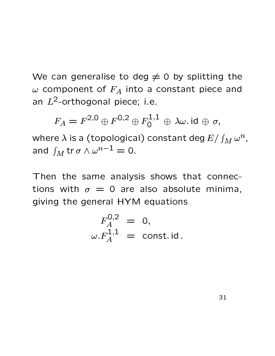We can generalise to deg  $\neq$  0 by splitting the  $\omega$  component of  $F_A$  into a constant piece and an  $L^2$ -orthogonal piece; i.e.

$$
F_A = F^{2,0} \oplus F^{0,2} \oplus F_0^{1,1} \oplus \lambda \omega \text{ id } \oplus \sigma,
$$

where  $\lambda$  is a (topological) constant deg  $E/\int_M \omega^n$ , and  $\int_M tr \sigma \wedge \omega^{n-1} = 0$ .

Then the same analysis shows that connections with  $\sigma = 0$  are also absolute minima, giving the general HYM equations

$$
F_A^{0,2} = 0,
$$
  

$$
\omega.F_A^{1,1} = \text{const. id}
$$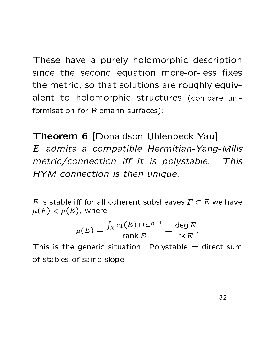These have a purely holomorphic description since the second equation more-or-less fixes the metric, so that solutions are roughly equivalent to holomorphic structures (compare uniformisation for Riemann surfaces):

Theorem 6 [Donaldson-Uhlenbeck-Yau]  $E$  admits a compatible Hermitian-Yang-Mills metric/connection iff it is polystable. This HYM connection is then unique.

E is stable iff for all coherent subsheaves  $F \subset E$  we have  $\mu(F) < \mu(E)$ , where

$$
\mu(E) = \frac{\int_X c_1(E) \cup \omega^{n-1}}{\operatorname{rank} E} = \frac{\deg E}{\operatorname{rk} E}.
$$

This is the generic situation. Polystable  $=$  direct sum of stables of same slope.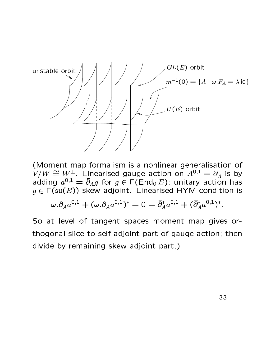

(Moment map formalism is a nonlinear generalisation of  $V/W \cong W^{\perp}$ . Linearised gauge action on  $A^{0,1} = \overline{\partial}_A$  is by adding  $a^{0,1} = \overline{\partial}_A g$  for  $g \in \Gamma(\text{End}_0 E)$ ; unitary action has  $g \in \Gamma(\mathfrak{su}(E))$  skew-adjoint. Linearised HYM condition is

$$
\omega . \partial_A a^{0,1} + (\omega . \partial_A a^{0,1})^* = 0 = \bar{\partial}_A^* a^{0,1} + (\bar{\partial}_A^* a^{0,1})^*.
$$

So at level of tangent spaces moment map gives orthogonal slice to self adjoint part of gauge action; then divide by remaining skew adjoint part.)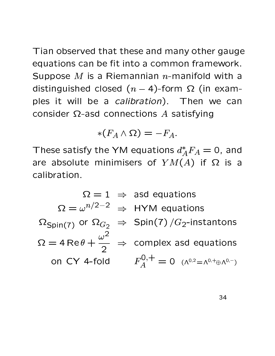Tian observed that these and many other gauge equations can be fit into a common framework. Suppose M is a Riemannian  $n$ -manifold with a distinguished closed  $(n-4)$ -form  $\Omega$  (in examples it will be a *calibration*). Then we can consider  $\Omega$ -asd connections A satisfying

$$
*(F_A \wedge \Omega) = -F_A.
$$

These satisfy the YM equations  $d_A^*F_A=0$ , and are absolute minimisers of  $YM(A)$  if  $\Omega$  is a calibration.

 $\Omega = 1 \Rightarrow$  asd equations  $\Omega = \omega^{n/2-2} \Rightarrow HYM$  equations  $\Omega_{\text{Spin}(7)}$  or  $\Omega_{G_2} \Rightarrow$  Spin(7)/ $G_2$ -instantons  $\Omega = 4 \text{ Re } \theta + \frac{\omega^2}{2} \Rightarrow$  complex asd equations on CY 4-fold  $F_A^{0,+} = 0$  ( $\Lambda^{0,2} = \Lambda^{0,+} \oplus \Lambda^{0,-}$ )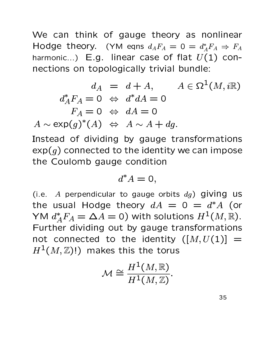We can think of gauge theory as nonlinear Hodge theory. (YM eqns  $d_A F_A = 0 = d_A^* F_A \Rightarrow F_A$ harmonic...) E.g. linear case of flat  $U(1)$  connections on topologically trivial bundle:

$$
d_A = d + A, \qquad A \in \Omega^1(M, i\mathbb{R})
$$
  
\n
$$
d_A^* F_A = 0 \Leftrightarrow d^* dA = 0
$$
  
\n
$$
F_A = 0 \Leftrightarrow dA = 0
$$
  
\n
$$
A \sim \exp(g)^*(A) \Leftrightarrow A \sim A + dg.
$$

Instead of dividing by gauge transformations  $\exp(g)$  connected to the identity we can impose the Coulomb gauge condition

$$
d^*A=0,
$$

(i.e. A perpendicular to gauge orbits  $dg$ ) giving us the usual Hodge theory  $dA = 0 = d^*A$  (or YM  $d_A^*F_A = \Delta A = 0$ ) with solutions  $H^1(M, \mathbb{R})$ . Further dividing out by gauge transformations not connected to the identity  $([M, U(1)] =$  $H^1(M,\mathbb{Z})!)$  makes this the torus

$$
\mathcal{M} \cong \frac{H^1(M,\mathbb{R})}{H^1(M,\mathbb{Z})}.
$$

35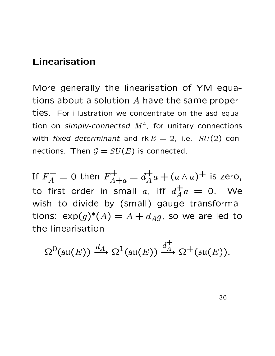## Linearisation

More generally the linearisation of YM equations about a solution A have the same properties. For illustration we concentrate on the asd equation on simply-connected  $M^4$ , for unitary connections with fixed determinant and  $rk E = 2$ , i.e.  $SU(2)$  connections. Then  $G = SU(E)$  is connected.

If  $F_A^+ = 0$  then  $F_{A+a}^+ = d_A^+ a + (a \wedge a)^+$  is zero, to first order in small a, iff  $d_A^{\dagger} a = 0$ . We wish to divide by (small) gauge transformations:  $\exp(g)^*(A) = A + d_A g$ , so we are led to the linearisation

$$
\Omega^0(\mathfrak{su}(E)) \xrightarrow{d_A} \Omega^1(\mathfrak{su}(E)) \xrightarrow{d_A^+} \Omega^+(\mathfrak{su}(E)).
$$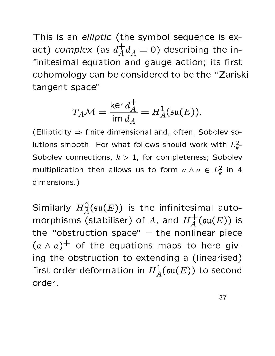This is an elliptic (the symbol sequence is exact) complex (as  $d_A^+d_A=0$ ) describing the infinitesimal equation and gauge action; its first cohomology can be considered to be the "Zariski tangent space"

$$
T_A \mathcal{M} = \frac{\ker d_A^+}{\mathrm{im} d_A} = H_A^1(\mathfrak{su}(E)).
$$

(Ellipticity  $\Rightarrow$  finite dimensional and, often, Sobolev solutions smooth. For what follows should work with  $L_k^2$ -Sobolev connections,  $k > 1$ , for completeness; Sobolev multiplication then allows us to form  $a \wedge a \in L_k^2$  in 4 dimensions.)

Similarly  $H_A^0(\mathfrak{su}(E))$  is the infinitesimal automorphisms (stabiliser) of A, and  $H^+_A(\mathfrak{su}(E))$  is the "obstruction space"  $-$  the nonlinear piece  $(a \wedge a)^+$  of the equations maps to here giving the obstruction to extending a (linearised) first order deformation in  $H^1_A(\mathfrak{su}(E))$  to second order.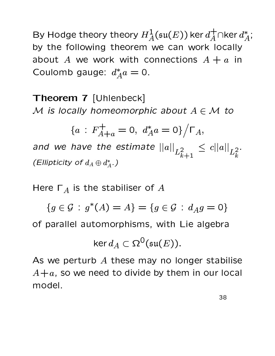By Hodge theory theory  $H^1_A(\mathfrak{su}(E))$  ker  $d^+_A \cap$ ker  $d^*_A$ ; by the following theorem we can work locally about A we work with connections  $A + a$  in Coulomb gauge:  $d_A^* a = 0$ .

Theorem 7 [Uhlenbeck] M is locally homeomorphic about  $A \in \mathcal{M}$  to

$$
\{a: F_{A+a}^+ = 0, \ d_A^* a = 0\} / \Gamma_A,
$$

and we have the estimate  $||a||_{L^2_{k+1}} \leq c||a||_{L^2_k}$ . (Ellipticity of  $d_A \oplus d_A^*$ .)

Here  $\Gamma_A$  is the stabiliser of A

 ${g \in \mathcal{G} : g^*(A) = A} = {g \in \mathcal{G} : d_A g = 0}$ 

of parallel automorphisms, with Lie algebra

$$
\ker d_A \subset \Omega^0(\mathfrak{su}(E)).
$$

As we perturb  $A$  these may no longer stabilise  $A + a$ , so we need to divide by them in our local model.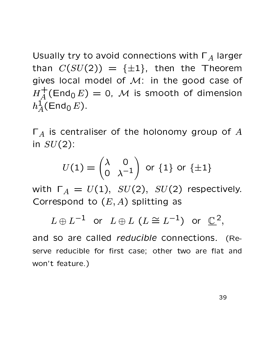Usually try to avoid connections with  $\Gamma_A$  larger than  $C(SU(2)) = {\pm 1}$ , then the Theorem gives local model of M: in the good case of  $H_A^+$ (End<sub>0</sub>E) = 0, M is smooth of dimension  $h^1_A(\text{End}_0 E)$ .

 $\Gamma_A$  is centraliser of the holonomy group of A in  $SU(2)$ :

$$
U(1) = \begin{pmatrix} \lambda & 0 \\ 0 & \lambda^{-1} \end{pmatrix}
$$
 or {1} or {±1}

with  $\Gamma_A = U(1)$ ,  $SU(2)$ ,  $SU(2)$  respectively. Correspond to  $(E, A)$  splitting as

 $L \oplus L^{-1}$  or  $L \oplus L$   $(L \cong L^{-1})$  or  $\mathbb{C}^2$ ,

and so are called *reducible* connections. (Reserve reducible for first case; other two are flat and won't feature.)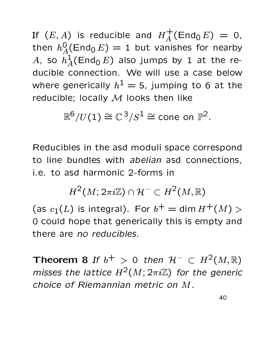If  $(E, A)$  is reducible and  $H_A^+(End_0 E) = 0$ , then  $h_A^0(\text{End}_0 E) = 1$  but vanishes for nearby A, so  $h^1_A(\text{End}_0 E)$  also jumps by 1 at the reducible connection. We will use a case below where generically  $h^1 = 5$ , jumping to 6 at the reducible; locally M looks then like

 $\mathbb{R}^6/U(1) \cong \mathbb{C}^3/S^1 \cong$  cone on  $\mathbb{P}^2$ .

Reducibles in the asd moduli space correspond to line bundles with abelian asd connections, i.e. to asd harmonic 2-forms in

 $H^2(M; 2\pi i\mathbb{Z}) \cap \mathcal{H}^- \subset H^2(M,\mathbb{R})$ 

(as  $c_1(L)$  is integral). For  $b^+ = \dim H^+(M) > 0$ 0 could hope that generically this is empty and there are no reducibles.

**Theorem 8** If  $b^+ > 0$  then  $H^- \subset H^2(M,\mathbb{R})$ misses the lattice  $H^2(M; 2\pi i \mathbb{Z})$  for the generic choice of Riemannian metric on M.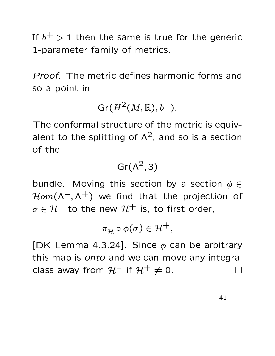If  $b^+ > 1$  then the same is true for the generic 1-parameter family of metrics.

*Proof.* The metric defines harmonic forms and so a point in

 $Gr(H^2(M,\mathbb{R}),b^{-}).$ 

The conformal structure of the metric is equivalent to the splitting of  $\Lambda^2$ , and so is a section of the

$$
\text{Gr}(\Lambda^2,3)
$$

bundle. Moving this section by a section  $\phi \in$  $\mathcal{H}om(\Lambda^{-}, \Lambda^{+})$  we find that the projection of  $\sigma \in \mathcal{H}^-$  to the new  $\mathcal{H}^+$  is, to first order,

$$
\pi_{\mathcal{H}}\circ\phi(\sigma)\in\mathcal{H}^+,
$$

[DK Lemma 4.3.24]. Since  $\phi$  can be arbitrary this map is onto and we can move any integral class away from  $H^-$  if  $H^+ \neq 0$ .  $\Box$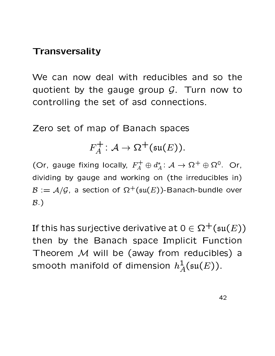## **Transversality**

We can now deal with reducibles and so the quotient by the gauge group  $G$ . Turn now to controlling the set of asd connections.

Zero set of map of Banach spaces

$$
F_A^+ : \mathcal{A} \to \Omega^+(\mathfrak{su}(E)).
$$

(Or, gauge fixing locally,  $F_A^+ \oplus d_A^* : A \to \Omega^+ \oplus \Omega^0$ . Or, dividing by gauge and working on (the irreducibles in)  $\mathcal{B} := \mathcal{A}/\mathcal{G}$ , a section of  $\Omega^+(\mathfrak{su}(E))$ -Banach-bundle over  $\mathcal{B}$ )

If this has surjective derivative at  $0 \in \Omega^+(\mathfrak{su}(E))$ then by the Banach space Implicit Function Theorem M will be (away from reducibles) a smooth manifold of dimension  $h^1_A(\mathfrak{su}(E))$ .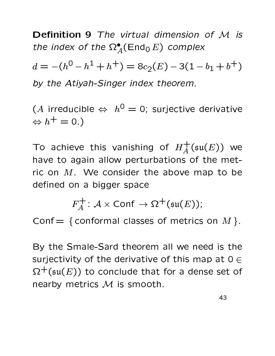Definition 9 The virtual dimension of M is the index of the  $\Omega_A^{\bullet}(\text{End}_0 E)$  complex

 $d = -(h^0 - h^1 + h^+) = 8c_2(E) - 3(1 - b_1 + b^+)$ by the Atiyah-Singer index theorem.

(A irreducible  $\Leftrightarrow h^0 = 0$ ; surjective derivative  $\Leftrightarrow h^+=0.$ 

To achieve this vanishing of  $H_A^+( \mathfrak{su}(E))$  we have to again allow perturbations of the metric on  $M$ . We consider the above map to be defined on a bigger space

 $F_4^+$ :  $\mathcal{A} \times$  Conf  $\rightarrow \Omega^+ (\mathfrak{su}(E))$ ;

Conf = { conformal classes of metrics on  $M$  }.

By the Smale-Sard theorem all we need is the surjectivity of the derivative of this map at  $0 \in$  $\Omega^+( \mathfrak{su}(E))$  to conclude that for a dense set of nearby metrics M is smooth.